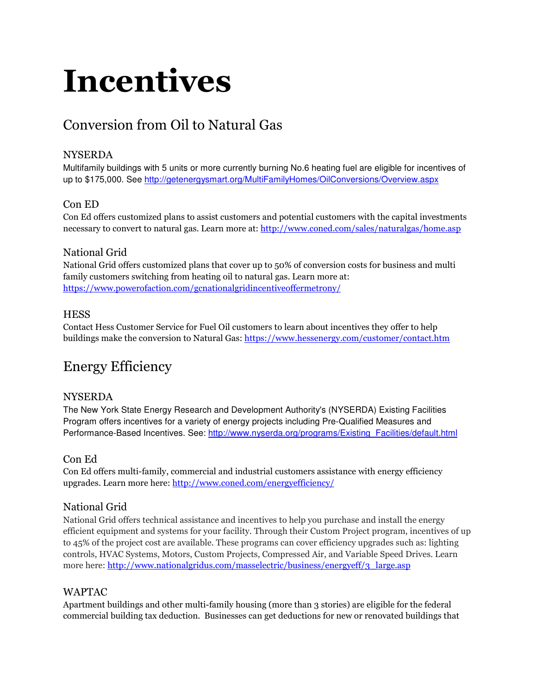# Incentives

# Conversion from Oil to Natural Gas

# NYSERDA

Multifamily buildings with 5 units or more currently burning No.6 heating fuel are eligible for incentives of up to \$175,000. See http://getenergysmart.org/MultiFamilyHomes/OilConversions/Overview.aspx

# Con ED

Con Ed offers customized plans to assist customers and potential customers with the capital investments necessary to convert to natural gas. Learn more at: http://www.coned.com/sales/naturalgas/home.asp

# National Grid

National Grid offers customized plans that cover up to 50% of conversion costs for business and multi family customers switching from heating oil to natural gas. Learn more at: https://www.powerofaction.com/gcnationalgridincentiveoffermetrony/

### **HESS**

Contact Hess Customer Service for Fuel Oil customers to learn about incentives they offer to help buildings make the conversion to Natural Gas: https://www.hessenergy.com/customer/contact.htm

# Energy Efficiency

#### **NYSERDA**

The New York State Energy Research and Development Authority's (NYSERDA) Existing Facilities Program offers incentives for a variety of energy projects including Pre-Qualified Measures and Performance-Based Incentives. See: http://www.nyserda.org/programs/Existing\_Facilities/default.html

# Con Ed

Con Ed offers multi-family, commercial and industrial customers assistance with energy efficiency upgrades. Learn more here: http://www.coned.com/energyefficiency/

# National Grid

National Grid offers technical assistance and incentives to help you purchase and install the energy efficient equipment and systems for your facility. Through their Custom Project program, incentives of up to 45% of the project cost are available. These programs can cover efficiency upgrades such as: lighting controls, HVAC Systems, Motors, Custom Projects, Compressed Air, and Variable Speed Drives. Learn more here: http://www.nationalgridus.com/masselectric/business/energyeff/3\_large.asp

# WAPTAC

Apartment buildings and other multi-family housing (more than 3 stories) are eligible for the federal commercial building tax deduction. Businesses can get deductions for new or renovated buildings that